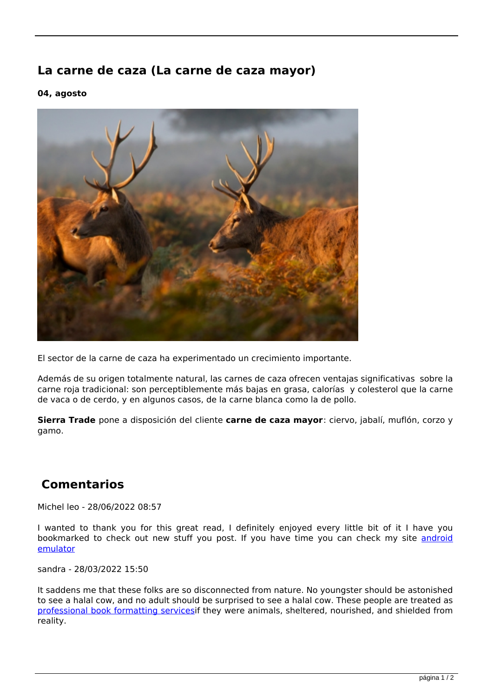# **La carne de caza (La carne de caza mayor)**

#### **04, agosto**



El sector de la carne de caza ha experimentado un crecimiento importante.

Además de su origen totalmente natural, las carnes de caza ofrecen ventajas significativas sobre la carne roja tradicional: son perceptiblemente más bajas en grasa, calorías y colesterol que la carne de vaca o de cerdo, y en algunos casos, de la carne blanca como la de pollo.

**Sierra Trade** pone a disposición del cliente **carne de caza mayor**: ciervo, jabalí, muflón, corzo y gamo.

## **Comentarios**

Michel leo - 28/06/2022 08:57

I wanted to thank you for this great read, I definitely enjoyed every little bit of it I have you bookmarked to check out new stuff you post. If you have time you can check my site [android](https://www.veoh.com/myprofile) [emulator](https://www.veoh.com/myprofile)

sandra - 28/03/2022 15:50

It saddens me that these folks are so disconnected from nature. No youngster should be astonished to see a halal cow, and no adult should be surprised to see a halal cow. These people are treated as [professional book formatting servicesi](https://www.360ghostwriting.com/formatting)f they were animals, sheltered, nourished, and shielded from reality.